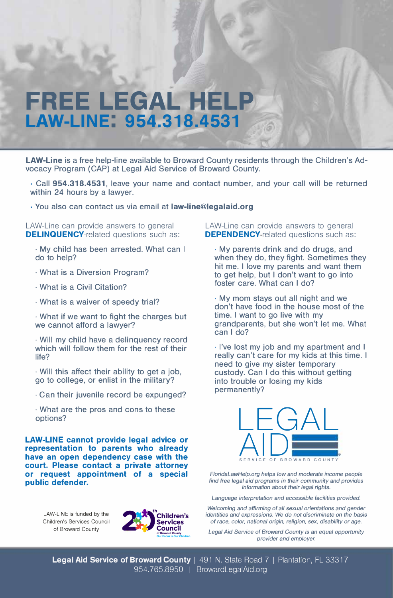## **FREE LEGAL HELP LAW-LINE: 954.318.4531**

**LAW-Line** is a free help-line available to Broward County residents through the Children's Advocacy Program (CAP) at Legal Aid Service of Broward County.

- Call **954.318.4531,** leave your name and contact number, and your call will be returned within 24 hours by a lawyer.
- You also can contact us via email at **law-line@legalaid.org**

LAW-Line can provide answers to general **DELINQUENCY-related questions such as:** 

- My child has been arrested. What can I do to help?
- · What is a Diversion Program?
- · What is a Civil Citation?
- · What is a waiver of speedy trial?

• What if we want to fight the charges but we cannot afford a lawyer?

• Will my child have a delinquency record which will follow them for the rest of their life?

· Will this affect their ability to get a job, go to college, or enlist in the military?

- · Can their juvenile record be expunged?
- · What are the pros and cons to these options?

**LAW-LINE cannot provide legal advice or representation to parents who already have an open dependency case with the court. Please contact a private attorney or request appointment of a special public defender.** 

> LAW-LINE is funded by the Children·s Services Council of Broward County



LAW-Line can provide answers to general **DEPENDENCY-related questions such as:** 

• My parents drink and do drugs, and when they do, they fight. Sometimes they hit me. I love my parents and want them to get help, but I don't want to go into foster care. What can I do?

· My mom stays out all night and we don't have food in the house most of the time. I want to go live with my grandparents, but she won't let me. What can I do?

· I've lost my job and my apartment and I really can't care for my kids at this time. I need to give my sister temporary custody. Can I do this without getting into trouble or losing my kids permanently?



*FloridaLawHelp.org helps low and moderate income people find free legal aid programs in their community and provides information about their legal rights.* 

*Language interpretation and accessible facilities provided.* 

*Welcoming and affirming of all sexual orientations and gender identities and expressions. We do not discriminate on the basis of race, color, national origin, religion, sex, disability or age.* 

*Legal Aid Service of Broward County* is *an equal opportunity provider and employer.*